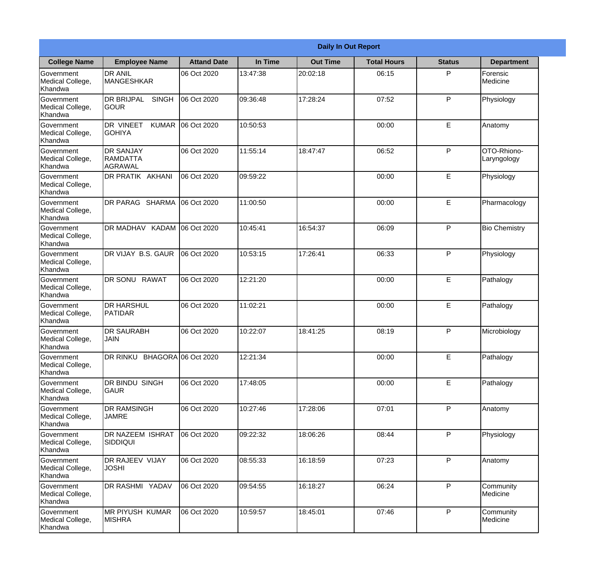|                                                  |                                                       |                    |          | <b>Daily In Out Report</b> |                    |               |                            |
|--------------------------------------------------|-------------------------------------------------------|--------------------|----------|----------------------------|--------------------|---------------|----------------------------|
| <b>College Name</b>                              | <b>Employee Name</b>                                  | <b>Attand Date</b> | In Time  | <b>Out Time</b>            | <b>Total Hours</b> | <b>Status</b> | <b>Department</b>          |
| Government<br>Medical College,<br>Khandwa        | <b>DR ANIL</b><br><b>MANGESHKAR</b>                   | 06 Oct 2020        | 13:47:38 | 20:02:18                   | 06:15              | P             | Forensic<br>Medicine       |
| Government<br>Medical College,<br>Khandwa        | <b>DR BRIJPAL</b><br><b>SINGH</b><br> GOUR            | 06 Oct 2020        | 09:36:48 | 17:28:24                   | 07:52              | P             | Physiology                 |
| <b>Government</b><br>Medical College,<br>Khandwa | <b>DR VINEET</b><br><b>KUMAR</b><br><b>I</b> GOHIYA   | 06 Oct 2020        | 10:50:53 |                            | 00:00              | E             | Anatomy                    |
| Government<br>Medical College,<br>Khandwa        | <b>DR SANJAY</b><br><b>RAMDATTA</b><br><b>AGRAWAL</b> | 06 Oct 2020        | 11:55:14 | 18:47:47                   | 06:52              | P             | OTO-Rhiono-<br>Laryngology |
| Government<br>Medical College,<br>Khandwa        | <b>DR PRATIK AKHANI</b>                               | 06 Oct 2020        | 09:59:22 |                            | 00:00              | E             | Physiology                 |
| Government<br>Medical College,<br>Khandwa        | DR PARAG SHARMA                                       | 06 Oct 2020        | 11:00:50 |                            | 00:00              | E             | Pharmacology               |
| Government<br>Medical College,<br>Khandwa        | DR MADHAV KADAM 06 Oct 2020                           |                    | 10:45:41 | 16:54:37                   | 06:09              | P             | <b>Bio Chemistry</b>       |
| Government<br>Medical College,<br>Khandwa        | DR VIJAY B.S. GAUR                                    | 06 Oct 2020        | 10:53:15 | 17:26:41                   | 06:33              | P             | Physiology                 |
| Government<br>Medical College,<br>Khandwa        | <b>DR SONU RAWAT</b>                                  | 06 Oct 2020        | 12:21:20 |                            | 00:00              | E             | Pathalogy                  |
| Government<br>Medical College,<br>Khandwa        | <b>DR HARSHUL</b><br>PATIDAR                          | 06 Oct 2020        | 11:02:21 |                            | 00:00              | E             | Pathalogy                  |
| Government<br>Medical College,<br>Khandwa        | <b>DR SAURABH</b><br><b>JAIN</b>                      | 06 Oct 2020        | 10:22:07 | 18:41:25                   | 08:19              | P             | Microbiology               |
| Government<br>Medical College,<br>Khandwa        | DR RINKU BHAGORA 06 Oct 2020                          |                    | 12:21:34 |                            | 00:00              | E             | Pathalogy                  |
| Government<br>Medical College,<br>Khandwa        | DR BINDU SINGH<br><b>GAUR</b>                         | 06 Oct 2020        | 17:48:05 |                            | 00:00              | E             | Pathalogy                  |
| Government<br>Medical College,<br>Khandwa        | <b>DR RAMSINGH</b><br><b>JAMRE</b>                    | 06 Oct 2020        | 10:27:46 | 17:28:06                   | 07:01              | P             | Anatomy                    |
| Government<br>Medical College,<br>Khandwa        | DR NAZEEM ISHRAT<br>SIDDIQUI                          | 06 Oct 2020        | 09:22:32 | 18:06:26                   | 08:44              | P             | Physiology                 |
| Government<br>Medical College,<br>Khandwa        | <b>DR RAJEEV VIJAY</b><br><b>JOSHI</b>                | 06 Oct 2020        | 08:55:33 | 16:18:59                   | 07:23              | P             | Anatomy                    |
| Government<br>Medical College,<br>Khandwa        | DR RASHMI YADAV                                       | 06 Oct 2020        | 09:54:55 | 16:18:27                   | 06:24              | P             | Community<br>Medicine      |
| Government<br>Medical College,<br>Khandwa        | <b>MR PIYUSH KUMAR</b><br><b>MISHRA</b>               | 06 Oct 2020        | 10:59:57 | 18:45:01                   | 07:46              | P             | Community<br>Medicine      |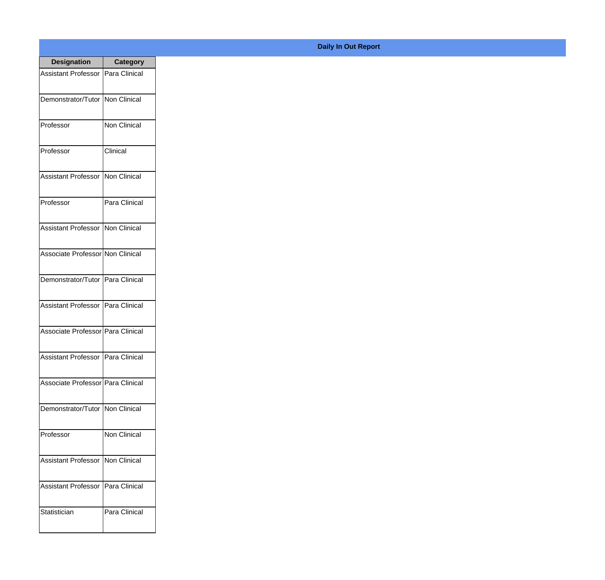| <b>Designation</b>                  | <b>Category</b>     |
|-------------------------------------|---------------------|
| <b>Assistant Professor</b>          | Para Clinical       |
| Demonstrator/Tutor                  | <b>Non Clinical</b> |
| Professor                           | Non Clinical        |
| Professor                           | Clinical            |
| <b>Assistant Professor</b>          | Non Clinical        |
| Professor                           | Para Clinical       |
| <b>Assistant Professor</b>          | Non Clinical        |
| Associate Professor Non Clinical    |                     |
| Demonstrator/Tutor   Para Clinical  |                     |
| <b>Assistant Professor</b>          | Para Clinical       |
| Associate Professor   Para Clinical |                     |
| Assistant Professor   Para Clinical |                     |
| Associate Professor Para Clinical   |                     |
| Demonstrator/Tutor   Non Clinical   |                     |
| Professor                           | Non Clinical        |
| <b>Assistant Professor</b>          | Non Clinical        |
| <b>Assistant Professor</b>          | Para Clinical       |
| Statistician                        | Para Clinical       |

## **Daily In Out Report**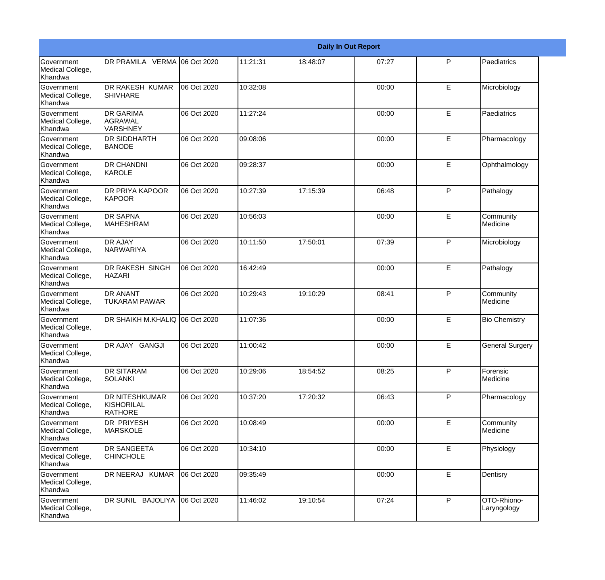|                                                  |                                                       |             |          |          | <b>Daily In Out Report</b> |              |                            |
|--------------------------------------------------|-------------------------------------------------------|-------------|----------|----------|----------------------------|--------------|----------------------------|
| Government<br>Medical College,<br>Khandwa        | DR PRAMILA VERMA 06 Oct 2020                          |             | 11:21:31 | 18:48:07 | 07:27                      | P            | Paediatrics                |
| Government<br>Medical College,<br>Khandwa        | <b>DR RAKESH KUMAR</b><br><b>SHIVHARE</b>             | 06 Oct 2020 | 10:32:08 |          | 00:00                      | E            | Microbiology               |
| Government<br>Medical College,<br>Khandwa        | <b>DR GARIMA</b><br>AGRAWAL<br>VARSHNEY               | 06 Oct 2020 | 11:27:24 |          | 00:00                      | E            | Paediatrics                |
| Government<br>Medical College,<br>Khandwa        | DR SIDDHARTH<br><b>BANODE</b>                         | 06 Oct 2020 | 09:08:06 |          | 00:00                      | E            | Pharmacology               |
| Government<br>Medical College,<br>Khandwa        | <b>DR CHANDNI</b><br>KAROLE                           | 06 Oct 2020 | 09:28:37 |          | 00:00                      | E            | Ophthalmology              |
| Government<br>Medical College,<br>Khandwa        | <b>DR PRIYA KAPOOR</b><br><b>KAPOOR</b>               | 06 Oct 2020 | 10:27:39 | 17:15:39 | 06:48                      | $\mathsf{P}$ | Pathalogy                  |
| <b>Government</b><br>Medical College,<br>Khandwa | <b>DR SAPNA</b><br>MAHESHRAM                          | 06 Oct 2020 | 10:56:03 |          | 00:00                      | E            | Community<br>Medicine      |
| Government<br>Medical College,<br>Khandwa        | DR AJAY<br>NARWARIYA                                  | 06 Oct 2020 | 10:11:50 | 17:50:01 | 07:39                      | $\mathsf{P}$ | Microbiology               |
| <b>Government</b><br>Medical College,<br>Khandwa | DR RAKESH SINGH<br><b>HAZARI</b>                      | 06 Oct 2020 | 16:42:49 |          | 00:00                      | E            | Pathalogy                  |
| Government<br>Medical College,<br>Khandwa        | <b>DR ANANT</b><br><b>TUKARAM PAWAR</b>               | 06 Oct 2020 | 10:29:43 | 19:10:29 | 08:41                      | P            | Community<br>Medicine      |
| Government<br>Medical College,<br>Khandwa        | DR SHAIKH M.KHALIQ 06 Oct 2020                        |             | 11:07:36 |          | 00:00                      | E            | <b>Bio Chemistry</b>       |
| Government<br>Medical College,<br>Khandwa        | DR AJAY GANGJI                                        | 06 Oct 2020 | 11:00:42 |          | 00:00                      | E            | <b>General Surgery</b>     |
| Government<br>Medical College,<br>Khandwa        | <b>DR SITARAM</b><br><b>SOLANKI</b>                   | 06 Oct 2020 | 10:29:06 | 18:54:52 | 08:25                      | P            | Forensic<br>Medicine       |
| Government<br>Medical College,<br>Khandwa        | DR NITESHKUMAR<br><b>KISHORILAL</b><br><b>RATHORE</b> | 06 Oct 2020 | 10:37:20 | 17:20:32 | 06:43                      | P            | Pharmacology               |
| Government<br>Medical College,<br>Khandwa        | <b>DR PRIYESH</b><br><b>MARSKOLE</b>                  | 06 Oct 2020 | 10:08:49 |          | 00:00                      | E            | Community<br>Medicine      |
| Government<br>Medical College,<br>Khandwa        | DR SANGEETA<br><b>CHINCHOLE</b>                       | 06 Oct 2020 | 10:34:10 |          | 00:00                      | E            | Physiology                 |
| Government<br>Medical College,<br>Khandwa        | DR NEERAJ KUMAR                                       | 06 Oct 2020 | 09:35:49 |          | 00:00                      | E            | Dentisry                   |
| Government<br>Medical College,<br>Khandwa        | DR SUNIL BAJOLIYA                                     | 06 Oct 2020 | 11:46:02 | 19:10:54 | 07:24                      | P            | OTO-Rhiono-<br>Laryngology |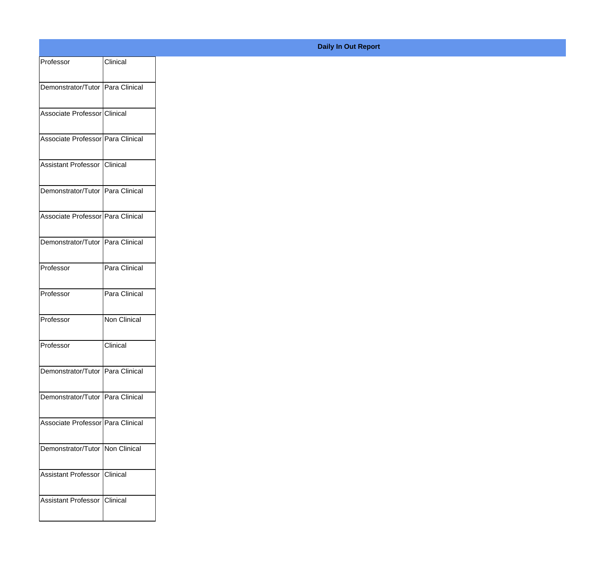| Professor                         | Clinical      |
|-----------------------------------|---------------|
| Demonstrator/Tutor Para Clinical  |               |
|                                   |               |
| Associate Professor Clinical      |               |
| Associate Professor Para Clinical |               |
|                                   |               |
| Assistant Professor               | Clinical      |
| Demonstrator/Tutor Para Clinical  |               |
| Associate Professor Para Clinical |               |
|                                   |               |
| Demonstrator/Tutor Para Clinical  |               |
| Professor                         | Para Clinical |
| Professor                         | Para Clinical |
|                                   |               |
| Professor                         | Non Clinical  |
| Professor                         | Clinical      |
|                                   |               |
| Demonstrator/Tutor Para Clinical  |               |
| Demonstrator/Tutor Para Clinical  |               |
| Associate Professor Para Clinical |               |
|                                   |               |
| Demonstrator/Tutor   Non Clinical |               |
| Assistant Professor Clinical      |               |
| Assistant Professor Clinical      |               |
|                                   |               |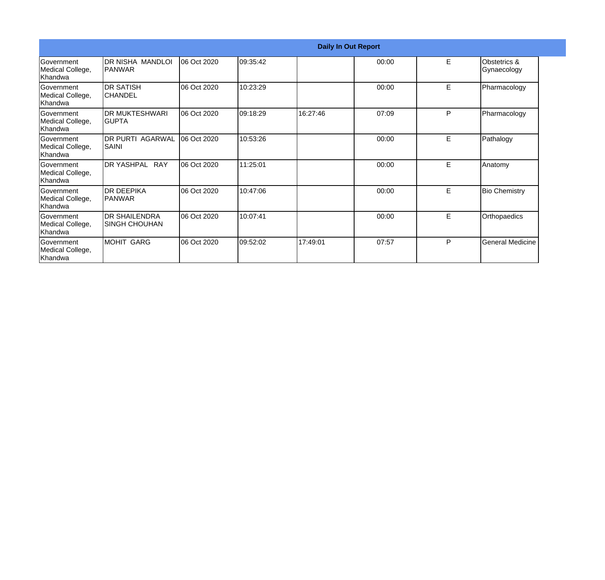|                                                   |                                              |             |          |          | <b>Daily In Out Report</b> |   |                             |
|---------------------------------------------------|----------------------------------------------|-------------|----------|----------|----------------------------|---|-----------------------------|
| <b>Government</b><br>Medical College,<br>lKhandwa | DR NISHA MANDLOI<br>IPANWAR                  | 06 Oct 2020 | 09:35:42 |          | 00:00                      | E | Obstetrics &<br>Gynaecology |
| Government<br>Medical College,<br>Khandwa         | <b>DR SATISH</b><br>ICHANDEL                 | 06 Oct 2020 | 10:23:29 |          | 00:00                      | E | Pharmacology                |
| Government<br>Medical College,<br>Khandwa         | <b>DR MUKTESHWARI</b><br>IGUPTA              | 06 Oct 2020 | 09:18:29 | 16:27:46 | 07:09                      | P | Pharmacology                |
| <b>Government</b><br>Medical College,<br>lKhandwa | <b>DR PURTI AGARWAL</b><br>ISAINI            | 06 Oct 2020 | 10:53:26 |          | 00:00                      | E | Pathalogy                   |
| Government<br>Medical College,<br>Khandwa         | DR YASHPAL RAY                               | 06 Oct 2020 | 11:25:01 |          | 00:00                      | E | Anatomy                     |
| Government<br>Medical College,<br>Khandwa         | IDR DEEPIKA<br>IPANWAR                       | 06 Oct 2020 | 10:47:06 |          | 00:00                      | E | <b>Bio Chemistry</b>        |
| Government<br>Medical College,<br>Khandwa         | <b>DR SHAILENDRA</b><br><b>SINGH CHOUHAN</b> | 06 Oct 2020 | 10:07:41 |          | 00:00                      | E | Orthopaedics                |
| Government<br>Medical College,<br>Khandwa         | MOHIT GARG                                   | 06 Oct 2020 | 09:52:02 | 17:49:01 | 07:57                      | P | General Medicine            |